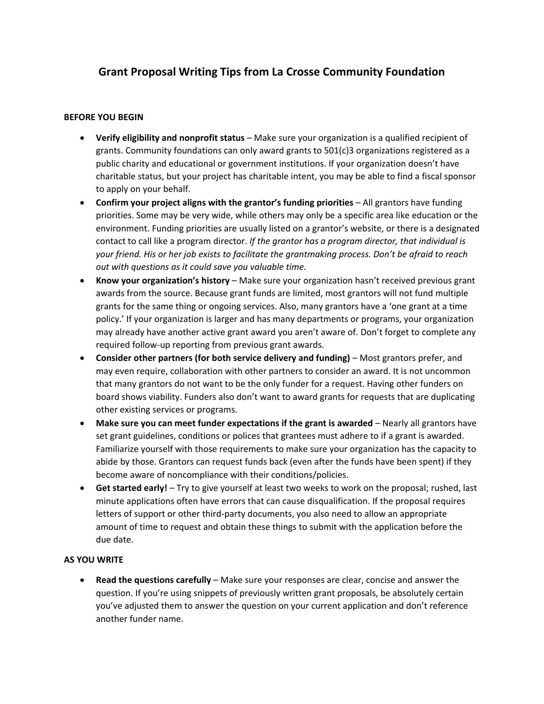# **Grant Proposal Writing Tips from La Crosse Community Foundation**

#### **BEFORE YOU BEGIN**

- **Verify eligibility and nonprofit status** Make sure your organization is a qualified recipient of grants. Community foundations can only award grants to 501(c)3 organizations registered as a public charity and educational or government institutions. If your organization doesn't have charitable status, but your project has charitable intent, you may be able to find a fiscal sponsor to apply on your behalf.
- **Confirm your project aligns with the grantor's funding priorities** All grantors have funding priorities. Some may be very wide, while others may only be a specific area like education or the environment. Funding priorities are usually listed on a grantor's website, or there is a designated contact to call like a program director. *If the grantor has a program director, that individual is your friend. His or her job exists to facilitate the grantmaking process. Don't be afraid to reach out with questions as it could save you valuable time.*
- **Know your organization's history** Make sure your organization hasn't received previous grant awards from the source. Because grant funds are limited, most grantors will not fund multiple grants for the same thing or ongoing services. Also, many grantors have a 'one grant at a time policy.' If your organization is larger and has many departments or programs, your organization may already have another active grant award you aren't aware of. Don't forget to complete any required follow-up reporting from previous grant awards.
- **Consider other partners (for both service delivery and funding)** Most grantors prefer, and may even require, collaboration with other partners to consider an award. It is not uncommon that many grantors do not want to be the only funder for a request. Having other funders on board shows viability. Funders also don't want to award grants for requests that are duplicating other existing services or programs.
- **Make sure you can meet funder expectations if the grant is awarded** Nearly all grantors have set grant guidelines, conditions or polices that grantees must adhere to if a grant is awarded. Familiarize yourself with those requirements to make sure your organization has the capacity to abide by those. Grantors can request funds back (even after the funds have been spent) if they become aware of noncompliance with their conditions/policies.
- **Get started early!** Try to give yourself at least two weeks to work on the proposal; rushed, last minute applications often have errors that can cause disqualification. If the proposal requires letters of support or other third-party documents, you also need to allow an appropriate amount of time to request and obtain these things to submit with the application before the due date.

#### **AS YOU WRITE**

• **Read the questions carefully** – Make sure your responses are clear, concise and answer the question. If you're using snippets of previously written grant proposals, be absolutely certain you've adjusted them to answer the question on your current application and don't reference another funder name.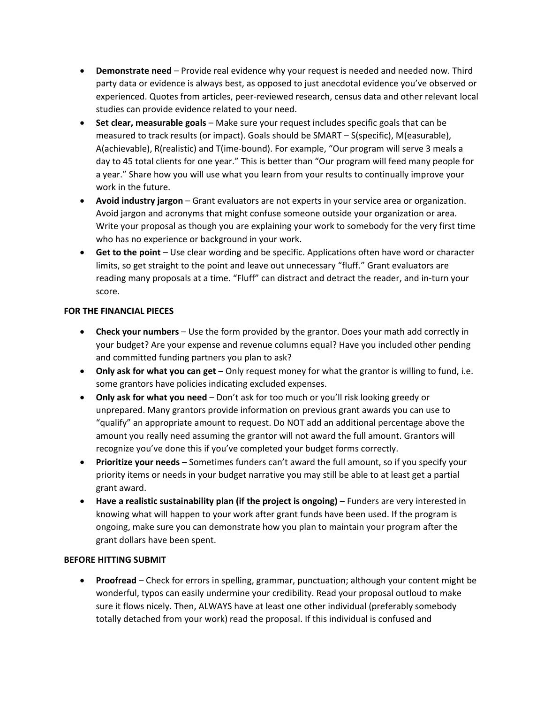- **Demonstrate need** Provide real evidence why your request is needed and needed now. Third party data or evidence is always best, as opposed to just anecdotal evidence you've observed or experienced. Quotes from articles, peer-reviewed research, census data and other relevant local studies can provide evidence related to your need.
- **Set clear, measurable goals** Make sure your request includes specific goals that can be measured to track results (or impact). Goals should be SMART – S(specific), M(easurable), A(achievable), R(realistic) and T(ime-bound). For example, "Our program will serve 3 meals a day to 45 total clients for one year." This is better than "Our program will feed many people for a year." Share how you will use what you learn from your results to continually improve your work in the future.
- **Avoid industry jargon** Grant evaluators are not experts in your service area or organization. Avoid jargon and acronyms that might confuse someone outside your organization or area. Write your proposal as though you are explaining your work to somebody for the very first time who has no experience or background in your work.
- **Get to the point** Use clear wording and be specific. Applications often have word or character limits, so get straight to the point and leave out unnecessary "fluff." Grant evaluators are reading many proposals at a time. "Fluff" can distract and detract the reader, and in-turn your score.

### **FOR THE FINANCIAL PIECES**

- **Check your numbers** Use the form provided by the grantor. Does your math add correctly in your budget? Are your expense and revenue columns equal? Have you included other pending and committed funding partners you plan to ask?
- **Only ask for what you can get** Only request money for what the grantor is willing to fund, i.e. some grantors have policies indicating excluded expenses.
- **Only ask for what you need** Don't ask for too much or you'll risk looking greedy or unprepared. Many grantors provide information on previous grant awards you can use to "qualify" an appropriate amount to request. Do NOT add an additional percentage above the amount you really need assuming the grantor will not award the full amount. Grantors will recognize you've done this if you've completed your budget forms correctly.
- **Prioritize your needs** Sometimes funders can't award the full amount, so if you specify your priority items or needs in your budget narrative you may still be able to at least get a partial grant award.
- **Have a realistic sustainability plan (if the project is ongoing)** Funders are very interested in knowing what will happen to your work after grant funds have been used. If the program is ongoing, make sure you can demonstrate how you plan to maintain your program after the grant dollars have been spent.

## **BEFORE HITTING SUBMIT**

• **Proofread** – Check for errors in spelling, grammar, punctuation; although your content might be wonderful, typos can easily undermine your credibility. Read your proposal outloud to make sure it flows nicely. Then, ALWAYS have at least one other individual (preferably somebody totally detached from your work) read the proposal. If this individual is confused and